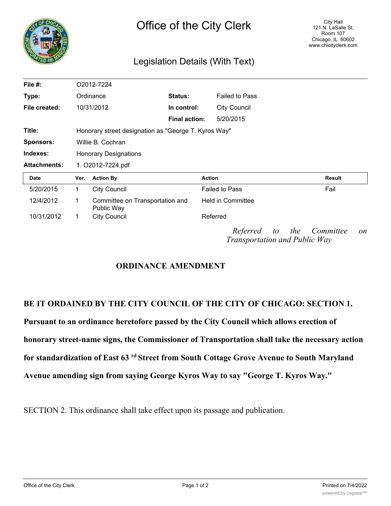| HIQ<br>∼ |  |  |  |  |  |  |
|----------|--|--|--|--|--|--|
|          |  |  |  |  |  |  |
|          |  |  |  |  |  |  |
|          |  |  |  |  |  |  |
| У<br>ø   |  |  |  |  |  |  |

## Legislation Details (With Text)

| File $#$ :          |                                                      | O2012-7224                                    |                      |                                                  |                 |  |
|---------------------|------------------------------------------------------|-----------------------------------------------|----------------------|--------------------------------------------------|-----------------|--|
| Type:               | Ordinance                                            |                                               | <b>Status:</b>       | <b>Failed to Pass</b>                            |                 |  |
| File created:       |                                                      | 10/31/2012                                    | In control:          | <b>City Council</b>                              |                 |  |
|                     |                                                      |                                               | <b>Final action:</b> | 5/20/2015                                        |                 |  |
| Title:              | Honorary street designation as "George T. Kyros Way" |                                               |                      |                                                  |                 |  |
| <b>Sponsors:</b>    | Willie B. Cochran                                    |                                               |                      |                                                  |                 |  |
| Indexes:            | <b>Honorary Designations</b>                         |                                               |                      |                                                  |                 |  |
| <b>Attachments:</b> | 1. O2012-7224.pdf                                    |                                               |                      |                                                  |                 |  |
| Date                | Ver.                                                 | <b>Action By</b>                              |                      | <b>Action</b>                                    | <b>Result</b>   |  |
| 5/20/2015           | 1                                                    | <b>City Council</b>                           |                      | <b>Failed to Pass</b>                            | Fail            |  |
| 12/4/2012           | 1                                                    | Committee on Transportation and<br>Public Way |                      | <b>Held in Committee</b>                         |                 |  |
| 10/31/2012          | 1                                                    | <b>City Council</b>                           |                      | Referred                                         |                 |  |
|                     |                                                      |                                               |                      | Referred to the<br>Transportation and Public Way | Committee<br>on |  |

## **ORDINANCE AMENDMENT**

## **BE IT ORDAINED BY THE CITY COUNCIL OF THE CITY OF CHICAGO: SECTION 1.**

**Pursuant to an ordinance heretofore passed by the City Council which allows erection of**

**honorary street-name signs, the Commissioner of Transportation shall take the necessary action**

**for standardization of East 63 rd Street from South Cottage Grove Avenue to South Maryland**

**Avenue amending sign from saying George Kyros Way to say "George T. Kyros Way."**

SECTION 2. This ordinance shall take effect upon its passage and publication.